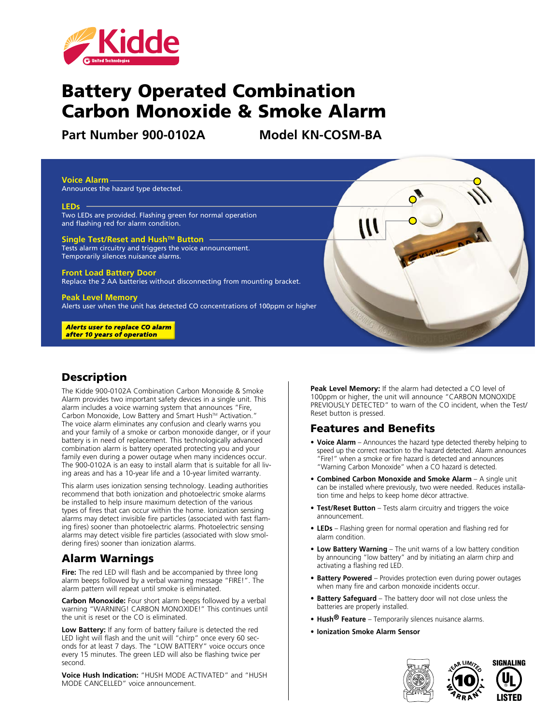

# Battery Operated Combination Carbon Monoxide & Smoke Alarm

**Part Number 900-0102A Model KN-COSM-BA**



### **Description**

The Kidde 900-0102A Combination Carbon Monoxide & Smoke Alarm provides two important safety devices in a single unit. This alarm includes a voice warning system that announces "Fire, Carbon Monoxide, Low Battery and Smart Hush™ Activation." The voice alarm eliminates any confusion and clearly warns you and your family of a smoke or carbon monoxide danger, or if your battery is in need of replacement. This technologically advanced combination alarm is battery operated protecting you and your family even during a power outage when many incidences occur. The 900-0102A is an easy to install alarm that is suitable for all living areas and has a 10-year life and a 10-year limited warranty.

This alarm uses ionization sensing technology. Leading authorities recommend that both ionization and photoelectric smoke alarms be installed to help insure maximum detection of the various types of fires that can occur within the home. Ionization sensing alarms may detect invisible fire particles (associated with fast flaming fires) sooner than photoelectric alarms. Photoelectric sensing alarms may detect visible fire particles (associated with slow smoldering fires) sooner than ionization alarms.

#### Alarm Warnings

**Fire:** The red LED will flash and be accompanied by three long alarm beeps followed by a verbal warning message "FIRE!". The alarm pattern will repeat until smoke is eliminated.

**Carbon Monoxide:** Four short alarm beeps followed by a verbal warning "WARNING! CARBON MONOXIDE!" This continues until the unit is reset or the CO is eliminated.

**Low Battery:** If any form of battery failure is detected the red LED light will flash and the unit will "chirp" once every 60 seconds for at least 7 days. The "LOW BATTERY" voice occurs once every 15 minutes. The green LED will also be flashing twice per second.

**Voice Hush Indication:** "HUSH MODE ACTIVATED" and "HUSH MODE CANCELLED" voice announcement.

**Peak Level Memory:** If the alarm had detected a CO level of 100ppm or higher, the unit will announce "CARBON MONOXIDE PREVIOUSLY DETECTED" to warn of the CO incident, when the Test/ Reset button is pressed.

#### Features and Benefits

- **• Voice Alarm** Announces the hazard type detected thereby helping to speed up the correct reaction to the hazard detected. Alarm announces "Fire!" when a smoke or fire hazard is detected and announces "Warning Carbon Monoxide" when a CO hazard is detected.
- **• Combined Carbon Monoxide and Smoke Alarm** A single unit can be installed where previously, two were needed. Reduces installation time and helps to keep home décor attractive.
- **• Test/Reset Button** Tests alarm circuitry and triggers the voice announcement.
- **• LEDs** Flashing green for normal operation and flashing red for alarm condition.
- **• Low Battery Warning** The unit warns of a low battery condition by announcing "low battery" and by initiating an alarm chirp and activating a flashing red LED.
- **• Battery Powered** Provides protection even during power outages when many fire and carbon monoxide incidents occur.
- **• Battery Safeguard** The battery door will not close unless the batteries are properly installed.
- **• Hush® Feature** Temporarily silences nuisance alarms.
- **• Ionization Smoke Alarm Sensor**